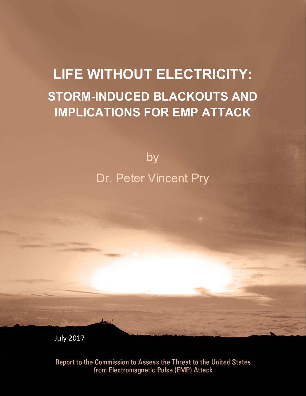# **LIFE WITHOUT ELECTRICITY: STORM-INDUCED BLACKOUTS AND IMPLICATIONS FOR EMP ATTACK**

by Dr. Peter Vincent Pry

July 2017

Report to the Commission to Assess the Threat to the United States from Electromagnetic Pulse (EMP) Attack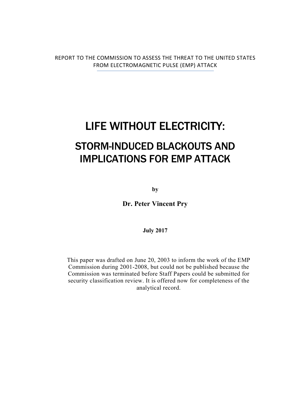REPORT TO THE COMMISSION TO ASSESS THE THREAT TO THE UNITED STATES FROM ELECTROMAGNETIC PULSE (EMP) ATTACK

## LIFE WITHOUT ELECTRICITY:

## STORM-INDUCED BLACKOUTS AND IMPLICATIONS FOR EMP ATTACK

**by**

**Dr. Peter Vincent Pry**

**July 2017**

This paper was drafted on June 20, 2003 to inform the work of the EMP Commission during 2001-2008, but could not be published because the Commission was terminated before Staff Papers could be submitted for security classification review. It is offered now for completeness of the analytical record.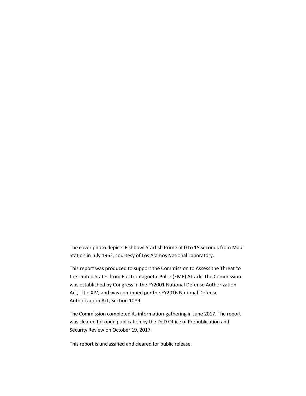The cover photo depicts Fishbowl Starfish Prime at 0 to 15 seconds from Maui Station in July 1962, courtesy of Los Alamos National Laboratory.

This report was produced to support the Commission to Assess the Threat to the United States from Electromagnetic Pulse (EMP) Attack. The Commission was established by Congress in the FY2001 National Defense Authorization Act, Title XIV, and was continued per the FY2016 National Defense Authorization Act, Section 1089.

The Commission completed its information-gathering in June 2017. The report was cleared for open publication by the DoD Office of Prepublication and Security Review on October 19, 2017.

This report is unclassified and cleared for public release.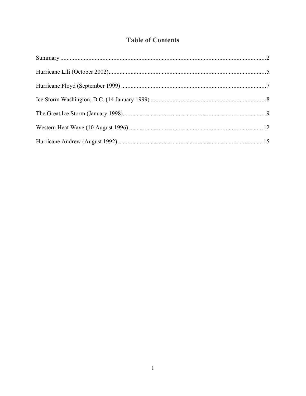### **Table of Contents**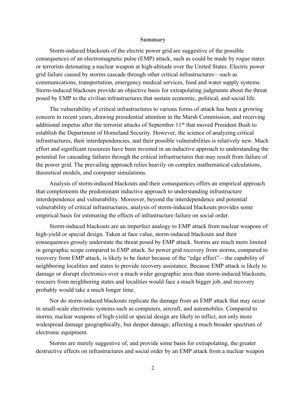#### **Summary**

Storm-induced blackouts of the electric power grid are suggestive of the possible consequences of an electromagnetic pulse (EMP) attack, such as could be made by rogue states or terrorists detonating a nuclear weapon at high-altitude over the United States. Electric power grid failure caused by storms cascade through other critical infrastructures—such as communications, transportation, emergency medical services, food and water supply systems. Storm-induced blackouts provide an objective basis for extrapolating judgments about the threat posed by EMP to the civilian infrastructures that sustain economic, political, and social life.

The vulnerability of critical infrastructures to various forms of attack has been a growing concern in recent years, drawing presidential attention in the Marsh Commission, and receiving additional impetus after the terrorist attacks of September 11<sup>th</sup> that moved President Bush to establish the Department of Homeland Security. However, the science of analyzing critical infrastructures, their interdependencies, and their possible vulnerabilities is relatively new. Much effort and significant resources have been invested in an inductive approach to understanding the potential for cascading failures through the critical infrastructures that may result from failure of the power grid. The prevailing approach relies heavily on complex mathematical calculations, theoretical models, and computer simulations.

Analysis of storm-induced blackouts and their consequences offers an empirical approach that complements the predominant inductive approach to understanding infrastructure interdependence and vulnerability. Moreover, beyond the interdependence and potential vulnerability of critical infrastructures, analysis of storm-induced blackouts provides some empirical basis for estimating the effects of infrastructure failure on social order.

Storm-induced blackouts are an imperfect analogy to EMP attack from nuclear weapons of high-yield or special design. Taken at face value, storm-induced blackouts and their consequences grossly understate the threat posed by EMP attack. Storms are much more limited in geographic scope compared to EMP attack. So power grid recovery from storms, compared to recovery from EMP attack, is likely to be faster because of the "edge effect"—the capability of neighboring localities and states to provide recovery assistance. Because EMP attack is likely to damage or disrupt electronics over a much wider geographic area than storm-induced blackouts, rescuers from neighboring states and localities would face a much bigger job, and recovery probably would take a much longer time.

Nor do storm-induced blackouts replicate the damage from an EMP attack that may occur in small-scale electronic systems such as computers, aircraft, and automobiles. Compared to storms, nuclear weapons of high-yield or special design are likely to inflict, not only more widespread damage geographically, but deeper damage, affecting a much broader spectrum of electronic equipment.

Storms are merely suggestive of, and provide some basis for extrapolating, the greater destructive effects on infrastructures and social order by an EMP attack from a nuclear weapon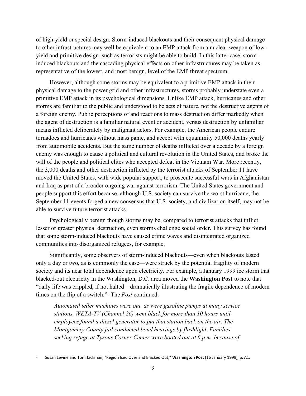of high-yield or special design. Storm-induced blackouts and their consequent physical damage to other infrastructures may well be equivalent to an EMP attack from a nuclear weapon of lowyield and primitive design, such as terrorists might be able to build. In this latter case, storminduced blackouts and the cascading physical effects on other infrastructures may be taken as representative of the lowest, and most benign, level of the EMP threat spectrum.

However, although some storms may be equivalent to a primitive EMP attack in their physical damage to the power grid and other infrastructures, storms probably understate even a primitive EMP attack in its psychological dimensions. Unlike EMP attack, hurricanes and other storms are familiar to the public and understood to be acts of nature, not the destructive agents of a foreign enemy. Public perceptions of and reactions to mass destruction differ markedly when the agent of destruction is a familiar natural event or accident, versus destruction by unfamiliar means inflicted deliberately by malignant actors. For example, the American people endure tornadoes and hurricanes without mass panic, and accept with equanimity 50,000 deaths yearly from automobile accidents. But the same number of deaths inflicted over a decade by a foreign enemy was enough to cause a political and cultural revolution in the United States, and broke the will of the people and political elites who accepted defeat in the Vietnam War. More recently, the 3,000 deaths and other destruction inflicted by the terrorist attacks of September 11 have moved the United States, with wide popular support, to prosecute successful wars in Afghanistan and Iraq as part of a broader ongoing war against terrorism. The United States government and people support this effort because, although U.S. society can survive the worst hurricane, the September 11 events forged a new consensus that U.S. society, and civilization itself, may not be able to survive future terrorist attacks.

Psychologically benign though storms may be, compared to terrorist attacks that inflict lesser or greater physical destruction, even storms challenge social order. This survey has found that some storm-induced blackouts have caused crime waves and disintegrated organized communities into disorganized refugees, for example.

Significantly, some observers of storm-induced blackouts—even when blackouts lasted only a day or two, as is commonly the case—were struck by the potential fragility of modern society and its near total dependence upon electricity. For example, a January 1999 ice storm that blacked-out electricity in the Washington, D.C. area moved the **Washington Post** to note that "daily life was crippled, if not halted—dramatically illustrating the fragile dependence of modern times on the flip of a switch."1 The *Post* continued:

*Automated teller machines were out, as were gasoline pumps at many service stations. WETA-TV (Channel 26) went black for more than 10 hours until employees found a diesel generator to put that station back on the air. The Montgomery County jail conducted bond hearings by flashlight. Families seeking refuge at Tysons Corner Center were booted out at 6 p.m. because of* 

<sup>1</sup> Susan Levine and Tom Jackman, "Region Iced Over and Blacked Out," **Washington Post** (16 January 1999), p. A1.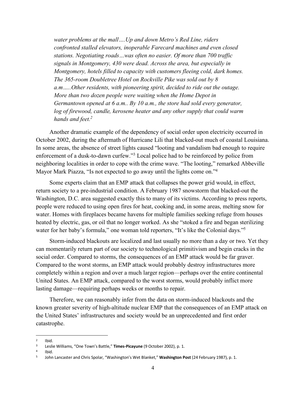*water problems at the mall….Up and down Metro's Red Line, riders confronted stalled elevators, inoperable Farecard machines and even closed stations. Negotiating roads…was often no easier. Of more than 700 traffic signals in Montgomery, 430 were dead. Across the area, but especially in Montgomery, hotels filled to capacity with customers fleeing cold, dark homes. The 365-room Doubletree Hotel on Rockville Pike was sold out by 8 a.m…..Other residents, with pioneering spirit, decided to ride out the outage. More than two dozen people were waiting when the Home Depot in Germantown opened at 6 a.m.. By 10 a.m., the store had sold every generator,*  log of firewood, candle, kerosene heater and any other supply that could warm *hands and feet.2*

Another dramatic example of the dependency of social order upon electricity occurred in October 2002, during the aftermath of Hurricane Lili that blacked-out much of coastal Louisiana. In some areas, the absence of street lights caused "looting and vandalism bad enough to require enforcement of a dusk-to-dawn curfew."3 Local police had to be reinforced by police from neighboring localities in order to cope with the crime wave. "The looting," remarked Abbeville Mayor Mark Piazza, "Is not expected to go away until the lights come on."4

Some experts claim that an EMP attack that collapses the power grid would, in effect, return society to a pre-industrial condition. A February 1987 snowstorm that blacked-out the Washington, D.C. area suggested exactly this to many of its victims. According to press reports, people were reduced to using open fires for heat, cooking and, in some areas, melting snow for water. Homes with fireplaces became havens for multiple families seeking refuge from houses heated by electric, gas, or oil that no longer worked. As she "stoked a fire and began sterilizing water for her baby's formula," one woman told reporters, "It's like the Colonial days."<sup>5</sup>

Storm-induced blackouts are localized and last usually no more than a day or two. Yet they can momentarily return part of our society to technological primitivism and begin cracks in the social order. Compared to storms, the consequences of an EMP attack would be far graver. Compared to the worst storms, an EMP attack would probably destroy infrastructures more completely within a region and over a much larger region—perhaps over the entire continental United States. An EMP attack, compared to the worst storms, would probably inflict more lasting damage—requiring perhaps weeks or months to repair.

Therefore, we can reasonably infer from the data on storm-induced blackouts and the known greater severity of high-altitude nuclear EMP that the consequences of an EMP attack on the United States' infrastructures and society would be an unprecedented and first order catastrophe.

 $\frac{2}{3}$  Ibid.

<sup>3</sup> Leslie Williams, "One Town's Battle," **Times-Picayune** (9 October 2002), p. 1. 4 Ibid.

<sup>5</sup> John Lancaster and Chris Spolar, "Washington's Wet Blanket," **Washington Post** (24 February 1987), p. 1.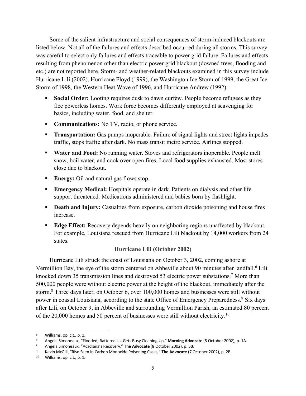Some of the salient infrastructure and social consequences of storm-induced blackouts are listed below. Not all of the failures and effects described occurred during all storms. This survey was careful to select only failures and effects traceable to power grid failure. Failures and effects resulting from phenomenon other than electric power grid blackout (downed trees, flooding and etc.) are not reported here. Storm- and weather-related blackouts examined in this survey include Hurricane Lili (2002), Hurricane Floyd (1999), the Washington Ice Storm of 1999, the Great Ice Storm of 1998, the Western Heat Wave of 1996, and Hurricane Andrew (1992):

- § **Social Order:** Looting requires dusk to dawn curfew. People become refugees as they flee powerless homes. Work force becomes differently employed at scavenging for basics, including water, food, and shelter.
- **Communications:** No TV, radio, or phone service.
- **Transportation:** Gas pumps inoperable. Failure of signal lights and street lights impedes traffic, stops traffic after dark. No mass transit metro service. Airlines stopped.
- **Water and Food:** No running water. Stoves and refrigerators inoperable. People melt snow, boil water, and cook over open fires. Local food supplies exhausted. Most stores close due to blackout.
- **Energy:** Oil and natural gas flows stop.
- **Emergency Medical:** Hospitals operate in dark. Patients on dialysis and other life support threatened. Medications administered and babies born by flashlight.
- § **Death and Injury:** Casualties from exposure, carbon dioxide poisoning and house fires increase.
- **Edge Effect:** Recovery depends heavily on neighboring regions unaffected by blackout. For example, Louisiana rescued from Hurricane Lili blackout by 14,000 workers from 24 states.

#### **Hurricane Lili (October 2002)**

Hurricane Lili struck the coast of Louisiana on October 3, 2002, coming ashore at Vermillion Bay, the eye of the storm centered on Abbeville about 90 minutes after landfall.<sup>6</sup> Lili knocked down 35 transmission lines and destroyed 53 electric power substations.<sup>7</sup> More than 500,000 people were without electric power at the height of the blackout, immediately after the storm.8 Three days later, on October 6, over 100,000 homes and businesses were still without power in coastal Louisiana, according to the state Office of Emergency Preparedness.<sup>9</sup> Six days after Lili, on October 9, in Abbeville and surrounding Vermillion Parish, an estimated 80 percent of the 20,000 homes and 50 percent of businesses were still without electricity.10

<sup>6</sup> Williams, op. cit., p. 1.<br>7 Angela Simoneaux, "Flooded, Battered La. Gets Busy Cleaning Up," **Morning Advocate** (5 October 2002), p. 1A.

<sup>8</sup> Angela Simoneaux, "Acadiana's Recovery," **The Advocate** (8 October 2002), p. 5B.

<sup>9</sup> Kevin McGill, "Rise Seen In Carbon Monoxide Poisoning Cases," **The Advocate** (7 October 2002), p. 2B.

<sup>10</sup> Williams, op. cit., p. 1.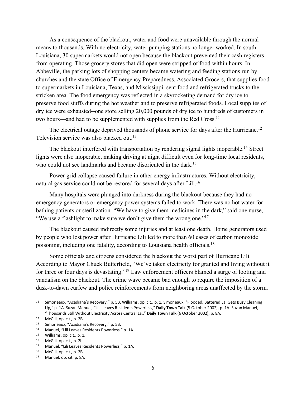As a consequence of the blackout, water and food were unavailable through the normal means to thousands. With no electricity, water pumping stations no longer worked. In south Louisiana, 30 supermarkets would not open because the blackout prevented their cash registers from operating. Those grocery stores that did open were stripped of food within hours. In Abbeville, the parking lots of shopping centers became watering and feeding stations run by churches and the state Office of Emergency Preparedness. Associated Grocers, that supplies food to supermarkets in Louisiana, Texas, and Mississippi, sent food and refrigerated trucks to the stricken area. The food emergency was reflected in a skyrocketing demand for dry ice to preserve food stuffs during the hot weather and to preserve refrigerated foods. Local supplies of dry ice were exhausted--one store selling 20,000 pounds of dry ice to hundreds of customers in two hours—and had to be supplemented with supplies from the Red Cross.<sup>11</sup>

The electrical outage deprived thousands of phone service for days after the Hurricane.<sup>12</sup> Television service was also blacked out.<sup>13</sup>

The blackout interfered with transportation by rendering signal lights inoperable.14 Street lights were also inoperable, making driving at night difficult even for long-time local residents, who could not see landmarks and became disoriented in the dark.<sup>15</sup>

Power grid collapse caused failure in other energy infrastructures. Without electricity, natural gas service could not be restored for several days after Lili.16

Many hospitals were plunged into darkness during the blackout because they had no emergency generators or emergency power systems failed to work. There was no hot water for bathing patients or sterilization. "We have to give them medicines in the dark," said one nurse, "We use a flashlight to make sure we don't give them the wrong one."<sup>17</sup>

The blackout caused indirectly some injuries and at least one death. Home generators used by people who lost power after Hurricane Lili led to more than 60 cases of carbon monoxide poisoning, including one fatality, according to Louisiana health officials.18

Some officials and citizens considered the blackout the worst part of Hurricane Lili. According to Mayor Chuck Butterfield, "We've taken electricity for granted and living without it for three or four days is devastating."19 Law enforcement officers blamed a surge of looting and vandalism on the blackout. The crime wave became bad enough to require the imposition of a dusk-to-dawn curfew and police reinforcements from neighboring areas unaffected by the storm.

<sup>11</sup> Simoneaux, "Acadiana's Recovery," p. 5B. Williams, op. cit., p. 1. Simoneaux, "Flooded, Battered La. Gets Busy Cleaning Up," p. 1A. Suzan Manuel, "Lili Leaves Residents Powerless," **Daily Town Talk** (5 October 2002), p. 1A. Suzan Manuel, "Thousands Still Without Electricity Across Central La.," **Daily Town Talk** (6 October 2002), p. 8A.

<sup>12</sup> McGill, op. cit., p. 2B.

<sup>13</sup> Simoneaux, "Acadiana's Recovery," p. 5B.<br>14 Manuel "Lili Loaves Posidents Powerloss"

<sup>&</sup>lt;sup>14</sup> Manuel, "Lili Leaves Residents Powerless," p. 1A.<br><sup>15</sup> Williams, on cit, n. 1

Williams, op. cit., p. 1.

 $16$  McGill, op. cit., p. 2b.<br> $17$  Manuel "Lili Leaves R

<sup>&</sup>lt;sup>17</sup> Manuel, "Lili Leaves Residents Powerless," p. 1A.<br><sup>18</sup> McGill on cit n 2B

McGill, op. cit., p. 2B.

<sup>19</sup> Manuel, op. cit. p. 8A.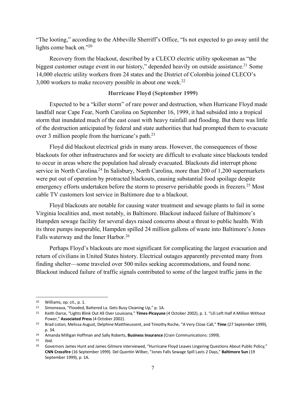"The looting," according to the Abbeville Sherriff's Office, "Is not expected to go away until the lights come back on."20

Recovery from the blackout, described by a CLECO electric utility spokesman as "the biggest customer outage event in our history," depended heavily on outside assistance.<sup>21</sup> Some 14,000 electric utility workers from 24 states and the District of Colombia joined CLECO's 3,000 workers to make recovery possible in about one week.22

#### **Hurricane Floyd (September 1999)**

Expected to be a "killer storm" of rare power and destruction, when Hurricane Floyd made landfall near Cape Fear, North Carolina on September 16, 1999, it had subsided into a tropical storm that inundated much of the east coast with heavy rainfall and flooding. But there was little of the destruction anticipated by federal and state authorities that had prompted them to evacuate over 3 million people from the hurricane's path.<sup>23</sup>

Floyd did blackout electrical grids in many areas. However, the consequences of those blackouts for other infrastructures and for society are difficult to evaluate since blackouts tended to occur in areas where the population had already evacuated. Blackouts did interrupt phone service in North Carolina.<sup>24</sup> In Salisbury, North Carolina, more than 200 of 1,200 supermarkets were put out of operation by protracted blackouts, causing substantial food spoilage despite emergency efforts undertaken before the storm to preserve perishable goods in freezers.<sup>25</sup> Most cable TV customers lost service in Baltimore due to a blackout.

Floyd blackouts are notable for causing water treatment and sewage plants to fail in some Virginia localities and, most notably, in Baltimore. Blackout induced failure of Baltimore's Hampden sewage facility for several days raised concerns about a threat to public health. With its three pumps inoperable, Hampden spilled 24 million gallons of waste into Baltimore's Jones Falls waterway and the Inner Harbor.<sup>26</sup>

Perhaps Floyd's blackouts are most significant for complicating the largest evacuation and return of civilians in United States history. Electrical outages apparently prevented many from finding shelter—some traveled over 500 miles seeking accommodations, and found none. Blackout induced failure of traffic signals contributed to some of the largest traffic jams in the

<sup>20</sup> Williams, op. cit., p. 1.

<sup>21</sup> Simoneaux, "Flooded, Battered La. Gets Busy Cleaning Up," p. 1A.

<sup>22</sup> Keith Darce, "Lights Blink Out All Over Louisiana," **Times-Picayune** (4 October 2002), p. 1. "Lili Left Half A Million Without Power," **Associated Press** (4 October 2002).

<sup>23</sup> Brad Liston, Melissa August, Delphine Matthieussent, and Timothy Roche, "A Very Close Call," **Time** (27 September 1999), p. 34.

<sup>24</sup> Amanda Milligan Hoffman and Sally Roberts, **Business Insurance** (Crain Communications: 1999).

 $^{25}$  Ibid.<br> $^{26}$  Gove

<sup>26</sup> Governors James Hunt and James Gilmore interviewed, "Hurricane Floyd Leaves Lingering Questions About Public Policy," **CNN Crossfire** (16 September 1999). Del Quentin Wilber, "Jones Falls Sewage Spill Lasts 2 Days," **Baltimore Sun** (19 September 1999), p. 1A.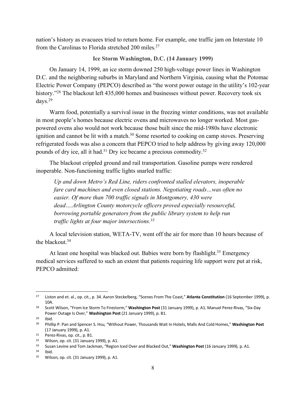nation's history as evacuees tried to return home. For example, one traffic jam on Interstate 10 from the Carolinas to Florida stretched 200 miles.<sup>27</sup>

#### **Ice Storm Washington, D.C. (14 January 1999)**

On January 14, 1999, an ice storm downed 250 high-voltage power lines in Washington D.C. and the neighboring suburbs in Maryland and Northern Virginia, causing what the Potomac Electric Power Company (PEPCO) described as "the worst power outage in the utility's 102-year history."<sup>28</sup> The blackout left 435,000 homes and businesses without power. Recovery took six days.29

Warm food, potentially a survival issue in the freezing winter conditions, was not available in most people's homes because electric ovens and microwaves no longer worked. Most gaspowered ovens also would not work because those built since the mid-1980s have electronic ignition and cannot be lit with a match. $30$  Some resorted to cooking on camp stoves. Preserving refrigerated foods was also a concern that PEPCO tried to help address by giving away 120,000 pounds of dry ice, all it had.<sup>31</sup> Dry ice became a precious commodity.<sup>32</sup>

The blackout crippled ground and rail transportation. Gasoline pumps were rendered inoperable. Non-functioning traffic lights snarled traffic:

*Up and down Metro's Red Line, riders confronted stalled elevators, inoperable fare card machines and even closed stations. Negotiating roads…was often no easier. Of more than 700 traffic signals in Montgomery, 430 were dead….Arlington County motorcycle officers proved especially resourceful, borrowing portable generators from the public library system to help run traffic lights at four major intersections.33*

A local television station, WETA-TV, went off the air for more than 10 hours because of the blackout  $34$ 

At least one hospital was blacked out. Babies were born by flashlight.<sup>35</sup> Emergency medical services suffered to such an extent that patients requiring life support were put at risk, PEPCO admitted:

<sup>27</sup> Liston and et. al., op. cit., p. 34. Aaron Steckelberg, "Scenes From The Coast," **Atlanta Constitution** (16 September 1999), p. 10A.

<sup>28</sup> Scott Wilson, "From Ice Storm To Firestorm," **Washington Post** (31 January 1999), p. A1. Manuel Perez-Rivas, "Six-Day Power Outage Is Over," **Washington Post** (21 January 1999), p. B1.

<sup>29</sup> Ibid.

<sup>30</sup> Phillip P. Pan and Spencer S. Hsu, "Without Power, Thousands Wait In Hotels, Malls And Cold Homes," **Washington Post**  (17 January 1999), p. A1.

<sup>31</sup> Perez-Rivas, op. cit., p. B1.

<sup>32</sup> Wilson, op. cit. (31 January 1999), p. A1.

<sup>33</sup> Susan Levine and Tom Jackman, "Region Iced Over and Blacked Out," **Washington Post** (16 January 1999), p. A1.

Ibid.

<sup>35</sup> Wilson, op. cit. (31 January 1999), p. A1.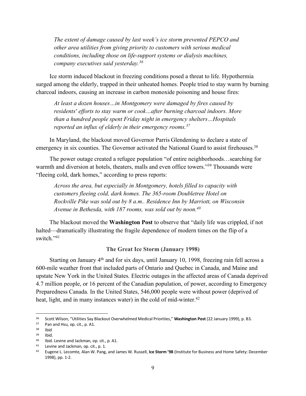*The extent of damage caused by last week's ice storm prevented PEPCO and other area utilities from giving priority to customers with serious medical conditions, including those on life-support systems or dialysis machines, company executives said yesterday.36*

Ice storm induced blackout in freezing conditions posed a threat to life. Hypothermia surged among the elderly, trapped in their unheated homes. People tried to stay warm by burning charcoal indoors, causing an increase in carbon monoxide poisoning and house fires:

*At least a dozen houses…in Montgomery were damaged by fires caused by residents' efforts to stay warm or cook…after burning charcoal indoors. More than a hundred people spent Friday night in emergency shelters…Hospitals reported an influx of elderly in their emergency rooms.37*

In Maryland, the blackout moved Governor Parris Glendening to declare a state of emergency in six counties. The Governor activated the National Guard to assist firehouses.<sup>38</sup>

The power outage created a refugee population "of entire neighborhoods…searching for warmth and diversion at hotels, theaters, malls and even office towers."<sup>39</sup> Thousands were "fleeing cold, dark homes," according to press reports:

*Across the area, but especially in Montgomery, hotels filled to capacity with customers fleeing cold, dark homes. The 365-room Doubletree Hotel on Rockville Pike was sold out by 8 a.m.. Residence Inn by Marriott, on Wisconsin Avenue in Bethesda, with 187 rooms, was sold out by noon.40*

The blackout moved the **Washington Post** to observe that "daily life was crippled, if not halted—dramatically illustrating the fragile dependence of modern times on the flip of a switch."41

**The Great Ice Storm (January 1998)**

Starting on January 4<sup>th</sup> and for six days, until January 10, 1998, freezing rain fell across a 600-mile weather front that included parts of Ontario and Quebec in Canada, and Maine and upstate New York in the United States. Electric outages in the affected areas of Canada deprived 4.7 million people, or 16 percent of the Canadian population, of power, according to Emergency Preparedness Canada. In the United States, 546,000 people were without power (deprived of heat, light, and in many instances water) in the cold of mid-winter.<sup>42</sup>

<sup>36</sup> Scott Wilson, "Utilities Say Blackout Overwhelmed Medical Priorities," **Washington Post** (22 January 1999), p. B3.

Pan and Hsu, op. cit., p. A1.

<sup>38</sup> Ibid

<sup>39</sup> Ibid.

<sup>40</sup> Ibid. Levine and Jackman, op. cit., p. A1.<br> $\frac{41}{2}$  Levine and Jackman, op. cit. p. 1

<sup>&</sup>lt;sup>41</sup> Levine and Jackman, op. cit., p. 1.<br><sup>42</sup> Eugene L. Lecomte, Alan W. Pang, and James W. Russell, **Ice Storm '98** (Institute for Business and Home Safety: December 1998), pp. 1-2.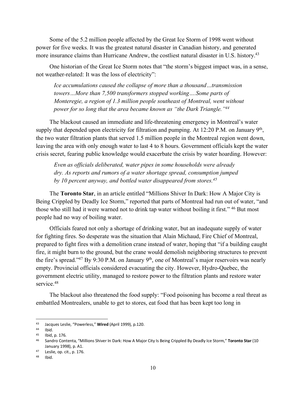Some of the 5.2 million people affected by the Great Ice Storm of 1998 went without power for five weeks. It was the greatest natural disaster in Canadian history, and generated more insurance claims than Hurricane Andrew, the costliest natural disaster in U.S. history.<sup>43</sup>

One historian of the Great Ice Storm notes that "the storm's biggest impact was, in a sense, not weather-related: It was the loss of electricity":

*Ice accumulations caused the collapse of more than a thousand…transmission towers…More than 7,500 transformers stopped working….Some parts of Monteregie, a region of 1.3 million people southeast of Montreal, went without power for so long that the area became known as "the Dark Triangle."44*

The blackout caused an immediate and life-threatening emergency in Montreal's water supply that depended upon electricity for filtration and pumping. At 12:20 P.M. on January  $9<sup>th</sup>$ , the two water filtration plants that served 1.5 million people in the Montreal region went down, leaving the area with only enough water to last 4 to 8 hours. Government officials kept the water crisis secret, fearing public knowledge would exacerbate the crisis by water hoarding. However:

*Even as officials deliberated,* w*ater pipes in some households were already dry. As reports and rumors of a water shortage spread, consumption jumped by 10 percent anyway, and bottled water disappeared from stores.45*

The **Toronto Star**, in an article entitled "Millions Shiver In Dark: How A Major City is Being Crippled by Deadly Ice Storm," reported that parts of Montreal had run out of water, "and those who still had it were warned not to drink tap water without boiling it first." 46 But most people had no way of boiling water.

Officials feared not only a shortage of drinking water, but an inadequate supply of water for fighting fires. So desperate was the situation that Alain Michaud, Fire Chief of Montreal, prepared to fight fires with a demolition crane instead of water, hoping that "if a building caught fire, it might burn to the ground, but the crane would demolish neighboring structures to prevent the fire's spread."<sup>47</sup> By 9:30 P.M. on January 9<sup>th</sup>, one of Montreal's major reservoirs was nearly empty. Provincial officials considered evacuating the city. However, Hydro-Quebec, the government electric utility, managed to restore power to the filtration plants and restore water service.<sup>48</sup>

The blackout also threatened the food supply: "Food poisoning has become a real threat as embattled Montrealers, unable to get to stores, eat food that has been kept too long in

<sup>43</sup> Jacques Leslie, "Powerless," **Wired** (April 1999), p.120.

Ibid.

<sup>45</sup> Ibid, p. 176.

<sup>46</sup> Sandro Contenta, "Millions Shiver In Dark: How A Major City Is Being Crippled By Deadly Ice Storm," **Toronto Star** (10 January 1998), p. A1. 47 Leslie, op. cit., p. 176.

<sup>48</sup> Ibid.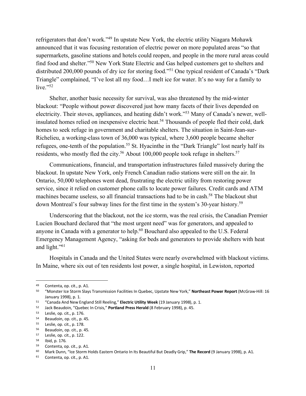refrigerators that don't work."49 In upstate New York, the electric utility Niagara Mohawk announced that it was focusing restoration of electric power on more populated areas "so that supermarkets, gasoline stations and hotels could reopen, and people in the more rural areas could find food and shelter."50 New York State Electric and Gas helped customers get to shelters and distributed 200,000 pounds of dry ice for storing food."51 One typical resident of Canada's "Dark Triangle" complained, "I've lost all my food…I melt ice for water. It's no way for a family to live."52

Shelter, another basic necessity for survival, was also threatened by the mid-winter blackout: "People without power discovered just how many facets of their lives depended on electricity. Their stoves, appliances, and heating didn't work."53 Many of Canada's newer, wellinsulated homes relied on inexpensive electric heat.<sup>54</sup> Thousands of people fled their cold, dark homes to seek refuge in government and charitable shelters. The situation in Saint-Jean-sur-Richelieu, a working-class town of 36,000 was typical, where 3,600 people became shelter refugees, one-tenth of the population.<sup>55</sup> St. Hyacinthe in the "Dark Triangle" lost nearly half its residents, who mostly fled the city.<sup>56</sup> About 100,000 people took refuge in shelters.<sup>57</sup>

Communications, financial, and transportation infrastructures failed massively during the blackout. In upstate New York, only French Canadian radio stations were still on the air. In Ontario, 50,000 telephones went dead, frustrating the electric utility from restoring power service, since it relied on customer phone calls to locate power failures. Credit cards and ATM machines became useless, so all financial transactions had to be in cash.<sup>58</sup> The blackout shut down Montreal's four subway lines for the first time in the system's 30-year history.<sup>59</sup>

Underscoring that the blackout, not the ice storm, was the real crisis, the Canadian Premier Lucien Bouchard declared that "the most urgent need" was for generators, and appealed to anyone in Canada with a generator to help.<sup>60</sup> Bouchard also appealed to the U.S. Federal Emergency Management Agency, "asking for beds and generators to provide shelters with heat and light."61

Hospitals in Canada and the United States were nearly overwhelmed with blackout victims. In Maine, where six out of ten residents lost power, a single hospital, in Lewiston, reported

<sup>&</sup>lt;sup>49</sup> Contenta, op. cit., p. A1.<br><sup>50</sup> "Monster Ice Storm Slays Transmission Facilities In Quebec, Upstate New York," **Northeast Power Report** (McGraw-Hill: 16 January 1998), p. 1.

<sup>51</sup> "Canada And New England Still Reeling," **Electric Utility Week** (19 January 1998), p. 1.

<sup>52</sup> Jack Beaudoin, "Quebec In Crisis," **Portland Press Herald** (8 February 1998), p. 45.

<sup>53</sup> Leslie, op. cit., p. 176.

<sup>54</sup> Beaudoin, op. cit., p. 45.

 $55$  Leslie, op. cit., p. 178.

<sup>56</sup> Beaudoin, op. cit., p. 45.<br>
<sup>57</sup> Leslie, op. cit., p. 122.<br>
<sup>59</sup> Contenta op. cit. p. 41

Contenta, op. cit., p. A1.

<sup>60</sup> Mark Dunn, "Ice Storm Holds Eastern Ontario In Its Beautiful But Deadly Grip," **The Record** (9 January 1998), p. A1.

<sup>61</sup> Contenta, op. cit., p. A1.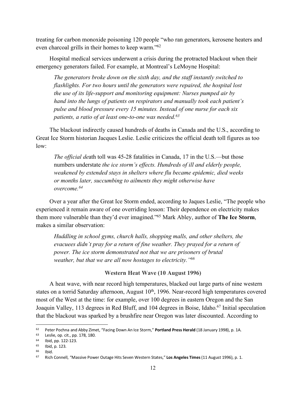treating for carbon monoxide poisoning 120 people "who ran generators, kerosene heaters and even charcoal grills in their homes to keep warm."62

Hospital medical services underwent a crisis during the protracted blackout when their emergency generators failed. For example, at Montreal's LeMoyne Hospital:

*The generators broke down on the sixth day, and the staff instantly switched to flashlights. For two hours until the generators were repaired, the hospital lost the use of its life-support and monitoring equipment: Nurses pumped air by hand into the lungs of patients on respirators and manually took each patient's pulse and blood pressure every 15 minutes. Instead of one nurse for each six patients, a ratio of at least one-to-one was needed.63*

The blackout indirectly caused hundreds of deaths in Canada and the U.S., according to Great Ice Storm historian Jacques Leslie. Leslie criticizes the official death toll figures as too low:

*The official de*ath toll was 45-28 fatalities in Canada, 17 in the U.S.—but those numbers understate *the ice storm's effects. Hundreds of ill and elderly people, weakened by extended stays in shelters where flu became epidemic, died weeks or months later, succumbing to ailments they might otherwise have overcome.64*

Over a year after the Great Ice Storm ended, according to Jaques Leslie, "The people who experienced it remain aware of one overriding lesson: Their dependence on electricity makes them more vulnerable than they'd ever imagined."65 Mark Abley, author of **The Ice Storm**, makes a similar observation:

*Huddling in school gyms, church halls, shopping malls, and other shelters, the evacuees didn't pray for a return of fine weather. They prayed for a return of power. The ice storm demonstrated not that we are prisoners of brutal weather, but that we are all now hostages to electricity."66*

#### **Western Heat Wave (10 August 1996)**

A heat wave, with near record high temperatures, blacked out large parts of nine western states on a torrid Saturday afternoon, August 10<sup>th</sup>, 1996. Near-record high temperatures covered most of the West at the time: for example, over 100 degrees in eastern Oregon and the San Joaquin Valley, 113 degrees in Red Bluff, and 104 degrees in Boise, Idaho.<sup>67</sup> Initial speculation that the blackout was sparked by a brushfire near Oregon was later discounted. According to

<sup>62</sup> Peter Pochna and Abby Zimet, "Facing Down An Ice Storm," **Portland Press Herald** (18 January 1998), p. 1A.

<sup>63</sup> Leslie, op. cit., pp. 178, 180.

<sup>64</sup> Ibid, pp. 122-123.

 $^{65}$  Ibid, p. 123.

Ibid.

<sup>67</sup> Rich Connell, "Massive Power Outage Hits Seven Western States," **Los Angeles Times**(11 August 1996), p. 1.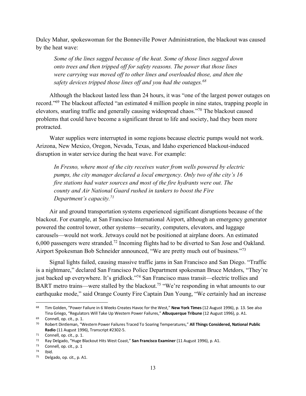Dulcy Mahar, spokeswoman for the Bonneville Power Administration, the blackout was caused by the heat wave:

*Some of the lines sagged because of the heat. Some of those lines sagged down onto trees and then tripped off for safety reasons. The power that those lines were carrying was moved off to other lines and overloaded those, and then the safety devices tripped those lines off and you had the outages.68*

Although the blackout lasted less than 24 hours, it was "one of the largest power outages on record."69 The blackout affected "an estimated 4 million people in nine states, trapping people in elevators, snarling traffic and generally causing widespread chaos."70 The blackout caused problems that could have become a significant threat to life and society, had they been more protracted.

Water supplies were interrupted in some regions because electric pumps would not work. Arizona, New Mexico, Oregon, Nevada, Texas, and Idaho experienced blackout-induced disruption in water service during the heat wave. For example:

*In Fresno, where most of the city receives water from wells powered by electric pumps, the city manager declared a local emergency. Only two of the city's 16 fire stations had water sources and most of the fire hydrants were out. The county and Air National Guard rushed in tankers to boost the Fire Department's capacity.71*

Air and ground transportation systems experienced significant disruptions because of the blackout. For example, at San Francisco International Airport, although an emergency generator powered the control tower, other systems—security, computers, elevators, and luggage carousels—would not work. Jetways could not be positioned at airplane doors. An estimated 6,000 passengers were stranded.72 Incoming flights had to be diverted to San Jose and Oakland. Airport Spokesman Bob Schneider announced, "We are pretty much out of business."73

Signal lights failed, causing massive traffic jams in San Francisco and San Diego. "Traffic is a nightmare," declared San Francisco Police Department spokesman Bruce Metdors, "They're just backed up everywhere. It's gridlock."74 San Francisco mass transit—electric trollies and BART metro trains—were stalled by the blackout.<sup>75</sup> "We're responding in what amounts to our earthquake mode," said Orange County Fire Captain Dan Young, "We certainly had an increase

<sup>68</sup> Tim Golden, "Power Failure in 6 Weeks Creates Havoc for the West," **New York Times** (12 August 1996), p. 13. See also Tina Griego, "Regulators Will Take Up Western Power Failures," **Albuquerque Tribune** (12 August 1996), p. A1.

<sup>69</sup> Connell, op. cit., p. 1.

<sup>70</sup> Robert Dintleman, "Western Power Failures Traced To Soaring Temperatures," **All Things Considered, National Public Radio** (11 August 1996), Transcript #2302-5. 71 Connell, op. cit., p. 1.

<sup>72</sup> Ray Delgado, "Huge Blackout Hits West Coast," **San Francisco Examiner** (11 August 1996), p. A1.

 $73$  Connell, op. cit., p. 1<br> $74$  Ibid.

<sup>75</sup> Delgado, op. cit., p. A1.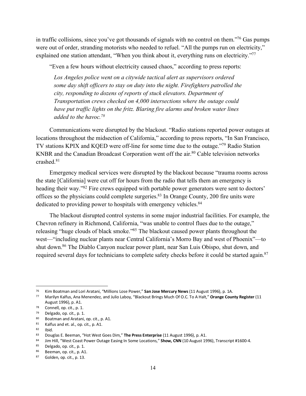in traffic collisions, since you've got thousands of signals with no control on them."76 Gas pumps were out of order, stranding motorists who needed to refuel. "All the pumps run on electricity," explained one station attendant, "When you think about it, everything runs on electricity."<sup>77</sup>

"Even a few hours without electricity caused chaos," according to press reports:

*Los Angeles police went on a citywide tactical alert as supervisors ordered some day shift officers to stay on duty into the night. Firefighters patrolled the city, responding to dozens of reports of stuck elevators. Department of Transportation crews checked on 4,000 intersections where the outage could have put traffic lights on the fritz. Blaring fire alarms and broken water lines added to the havoc.78*

Communications were disrupted by the blackout. "Radio stations reported power outages at locations throughout the midsection of California," according to press reports, "In San Francisco, TV stations KPIX and KQED were off-line for some time due to the outage."79 Radio Station KNBR and the Canadian Broadcast Corporation went off the air.<sup>80</sup> Cable television networks crashed.81

Emergency medical services were disrupted by the blackout because "trauma rooms across the state [California] were cut off for hours from the radio that tells them an emergency is heading their way."<sup>82</sup> Fire crews equipped with portable power generators were sent to doctors' offices so the physicians could complete surgeries.83 In Orange County, 200 fire units were dedicated to providing power to hospitals with emergency vehicles.<sup>84</sup>

The blackout disrupted control systems in some major industrial facilities. For example, the Chevron refinery in Richmond, California, "was unable to control flues due to the outage," releasing "huge clouds of black smoke."85 The blackout caused power plants throughout the west—"including nuclear plants near Central California's Morro Bay and west of Phoenix"—to shut down.<sup>86</sup> The Diablo Canyon nuclear power plant, near San Luis Obispo, shut down, and required several days for technicians to complete safety checks before it could be started again.<sup>87</sup>

<sup>76</sup> Kim Boatman and Lori Aratani, "Millions Lose Power," **San Jose Mercury News** (11 August 1996), p. 1A.

<sup>77</sup> Marilyn Kalfus, Ana Menendez, and Julio Laboy, "Blackout Brings Much Of O.C. To A Halt," **Orange County Register** (11 August 1996), p. A1.

<sup>78</sup> Connell, op. cit., p. 1.

 $79$  Delgado, op. cit., p. 1.<br>80 Boatman and Aratani

<sup>80</sup> Boatman and Aratani, op. cit., p. A1.<br>81 Kalfus and et al. op. cit. p. A1.

 $^{81}$  Kalfus and et. al., op. cit., p. A1.<br> $^{82}$  Ibid

Ibid.

<sup>83</sup> Douglas E. Beeman, "Hot West Goes Dim," **The Press Enterprise** (11 August 1996), p. A1.

<sup>84</sup> Jim Hill, "West Coast Power Outage Easing In Some Locations," **Show, CNN** (10 August 1996), Transcript #1600-4.

<sup>85</sup> Delgado, op. cit., p. 1.

<sup>86</sup> Beeman, op. cit., p. A1.

<sup>87</sup> Golden, op. cit., p. 13.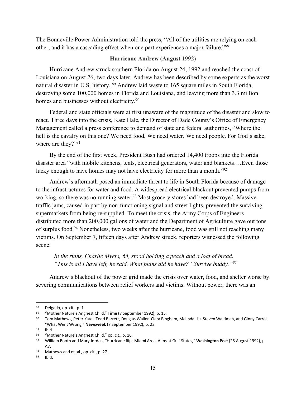The Bonneville Power Administration told the press, "All of the utilities are relying on each other, and it has a cascading effect when one part experiences a major failure."88

#### **Hurricane Andrew (August 1992)**

Hurricane Andrew struck southern Florida on August 24, 1992 and reached the coast of Louisiana on August 26, two days later. Andrew has been described by some experts as the worst natural disaster in U.S. history. <sup>89</sup> Andrew laid waste to 165 square miles in South Florida, destroying some 100,000 homes in Florida and Louisiana, and leaving more than 3.3 million homes and businesses without electricity.<sup>90</sup>

Federal and state officials were at first unaware of the magnitude of the disaster and slow to react. Three days into the crisis, Kate Hale, the Director of Dade County's Office of Emergency Management called a press conference to demand of state and federal authorities, "Where the hell is the cavalry on this one? We need food. We need water. We need people. For God's sake, where are they?"<sup>91</sup>

By the end of the first week, President Bush had ordered 14,400 troops into the Florida disaster area "with mobile kitchens, tents, electrical generators, water and blankets….Even those lucky enough to have homes may not have electricity for more than a month."92

Andrew's aftermath posed an immediate threat to life in South Florida because of damage to the infrastructures for water and food. A widespread electrical blackout prevented pumps from working, so there was no running water.<sup>93</sup> Most grocery stores had been destroyed. Massive traffic jams, caused in part by non-functioning signal and street lights, prevented the surviving supermarkets from being re-supplied. To meet the crisis, the Army Corps of Engineers distributed more than 200,000 gallons of water and the Department of Agriculture gave out tons of surplus food.94 Nonetheless, two weeks after the hurricane, food was still not reaching many victims. On September 7, fifteen days after Andrew struck, reporters witnessed the following scene:

*In the ruins, Charlie Myers, 65, stood holding a peach and a loaf of bread. "This is all I have left, he said. What plans did he have? "Survive buddy."95*

Andrew's blackout of the power grid made the crisis over water, food, and shelter worse by severing communications between relief workers and victims. Without power, there was an

<sup>88</sup> Delgado, op. cit., p. 1.

<sup>89</sup> "Mother Nature's Angriest Child," **Time** (7 September 1992), p. 15.

<sup>90</sup> Tom Mathews, Peter Katel, Todd Barrett, Douglas Waller, Clara Bingham, Melinda Liu, Steven Waldman, and Ginny Carrol, "What Went Wrong," **Newsweek** (7 September 1992), p. 23.

<sup>91</sup> Ibid.

<sup>92</sup> "Mother Nature's Angriest Child," op. cit., p. 16.

<sup>93</sup> William Booth and Mary Jordan, "Hurricane Rips Miami Area, Aims at Gulf States," **Washington Post** (25 August 1992), p. A7.

<sup>94</sup> Mathews and et. al., op. cit., p. 27.

<sup>95</sup> Ibid.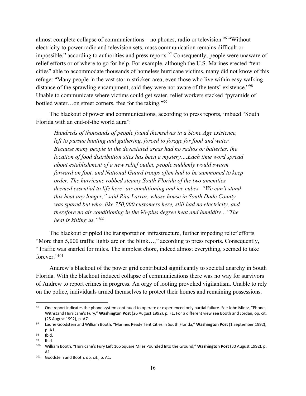almost complete collapse of communications—no phones, radio or television.<sup>96</sup> "Without" electricity to power radio and television sets, mass communication remains difficult or impossible," according to authorities and press reports.<sup>97</sup> Consequently, people were unaware of relief efforts or of where to go for help. For example, although the U.S. Marines erected "tent cities" able to accommodate thousands of homeless hurricane victims, many did not know of this refuge: "Many people in the vast storm-stricken area, even those who live within easy walking distance of the sprawling encampment, said they were not aware of the tents' existence."98 Unable to communicate where victims could get water, relief workers stacked "pyramids of bottled water…on street corners, free for the taking."99

The blackout of power and communications, according to press reports, imbued "South Florida with an end-of-the world aura":

*Hundreds of thousands of people found themselves in a Stone Age existence, left to pursue hunting and gathering, forced to forage for food and water. Because many people in the devastated areas had no radios or batteries, the location of food distribution sites has been a mystery….Each time word spread about establishment of a new relief outlet, people suddenly would swarm forward on foot, and National Guard troops often had to be summoned to keep order. The hurricane robbed steamy South Florida of the two amenities deemed essential to life here: air conditioning and ice cubes. "We can't stand this heat any longer," said Rita Larraz, whose house in South Dade County was spared but who, like 750,000 customers here, still had no electricity, and therefore no air conditioning in the 90-plus degree heat and humidity…"The heat is killing us."100*

The blackout crippled the transportation infrastructure, further impeding relief efforts. "More than 5,000 traffic lights are on the blink…," according to press reports. Consequently, "Traffic was snarled for miles. The simplest chore, indeed almost everything, seemed to take forever."101

Andrew's blackout of the power grid contributed significantly to societal anarchy in South Florida. With the blackout induced collapse of communications there was no way for survivors of Andrew to report crimes in progress. An orgy of looting provoked vigilantism. Unable to rely on the police, individuals armed themselves to protect their homes and remaining possessions.

<sup>96</sup> One report indicates the phone system continued to operate or experienced only partial failure. See John Mintz, "Phones Withstand Hurricane's Fury," **Washington Post** (26 August 1992), p. F1. For a different view see Booth and Jordan, op. cit. (25 August 1992), p. A7.

<sup>97</sup> Laurie Goodstein and William Booth, "Marines Ready Tent Cities in South Florida," **Washington Post** (1 September 1992), p. A1.

<sup>98</sup> Ibid.

<sup>99</sup> Ibid.

<sup>100</sup> William Booth, "Hurricane's Fury Left 165 Square Miles Pounded Into the Ground," **Washington Post** (30 August 1992), p. A1.

<sup>101</sup> Goodstein and Booth, op. cit., p. A1.